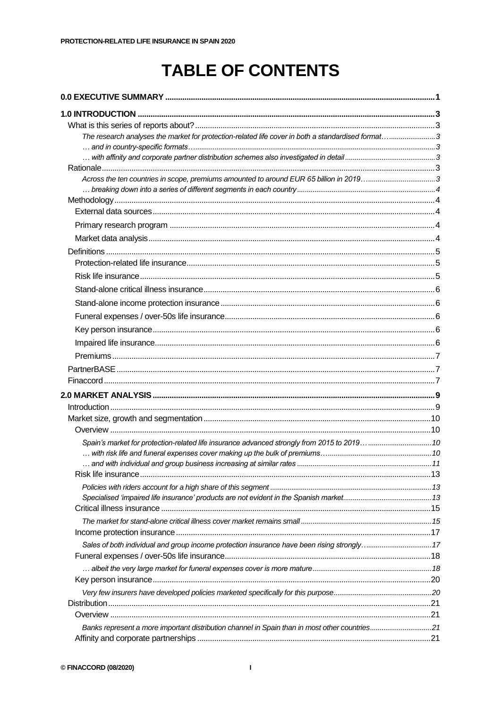## **TABLE OF CONTENTS**

| The research analyses the market for protection-related life cover in both a standardised format3 |  |
|---------------------------------------------------------------------------------------------------|--|
|                                                                                                   |  |
|                                                                                                   |  |
| Across the ten countries in scope, premiums amounted to around EUR 65 billion in 20193            |  |
|                                                                                                   |  |
|                                                                                                   |  |
|                                                                                                   |  |
|                                                                                                   |  |
|                                                                                                   |  |
|                                                                                                   |  |
|                                                                                                   |  |
|                                                                                                   |  |
|                                                                                                   |  |
|                                                                                                   |  |
|                                                                                                   |  |
|                                                                                                   |  |
|                                                                                                   |  |
|                                                                                                   |  |
|                                                                                                   |  |
|                                                                                                   |  |
|                                                                                                   |  |
|                                                                                                   |  |
|                                                                                                   |  |
|                                                                                                   |  |
| Spain's market for protection-related life insurance advanced strongly from 2015 to 2019  10      |  |
|                                                                                                   |  |
|                                                                                                   |  |
|                                                                                                   |  |
|                                                                                                   |  |
|                                                                                                   |  |
|                                                                                                   |  |
|                                                                                                   |  |
|                                                                                                   |  |
|                                                                                                   |  |
|                                                                                                   |  |
|                                                                                                   |  |
|                                                                                                   |  |
|                                                                                                   |  |
|                                                                                                   |  |
| Banks represent a more important distribution channel in Spain than in most other countries21     |  |
|                                                                                                   |  |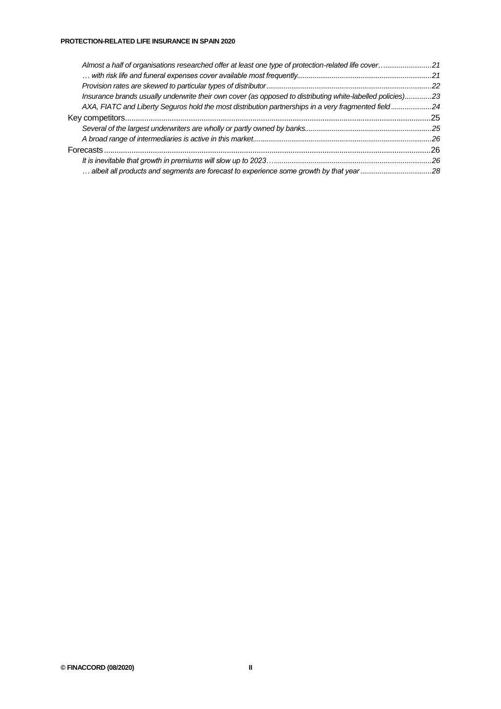| Almost a half of organisations researched offer at least one type of protection-related life cover21       |  |
|------------------------------------------------------------------------------------------------------------|--|
|                                                                                                            |  |
|                                                                                                            |  |
| Insurance brands usually underwrite their own cover (as opposed to distributing white-labelled policies)23 |  |
| AXA, FIATC and Liberty Seguros hold the most distribution partnerships in a very fragmented field24        |  |
|                                                                                                            |  |
|                                                                                                            |  |
|                                                                                                            |  |
|                                                                                                            |  |
|                                                                                                            |  |
|                                                                                                            |  |
|                                                                                                            |  |